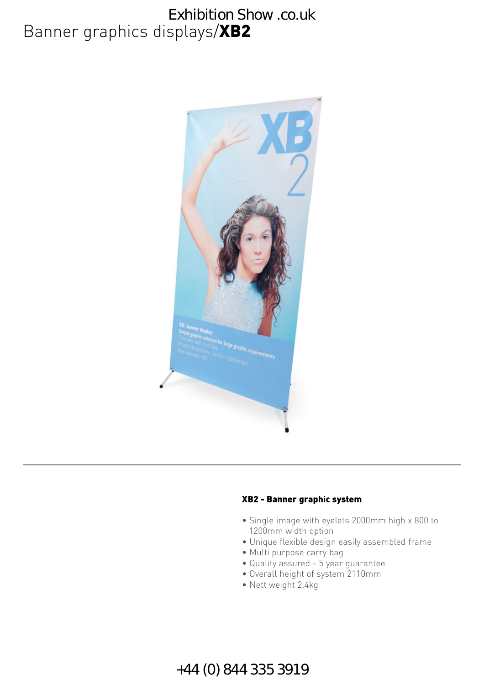# Banner graphics displays/XB2 Exhibition Show .co.uk



#### XB2 - Banner graphic system

- Single image with eyelets 2000mm high x 800 to 1200mm width option
- Unique flexible design easily assembled frame
- Multi purpose carry bag
- Quality assured 5 year guarantee
- Overall height of system 2110mm
- Nett weight 2.4kg

### +44 (0) 844 335 3919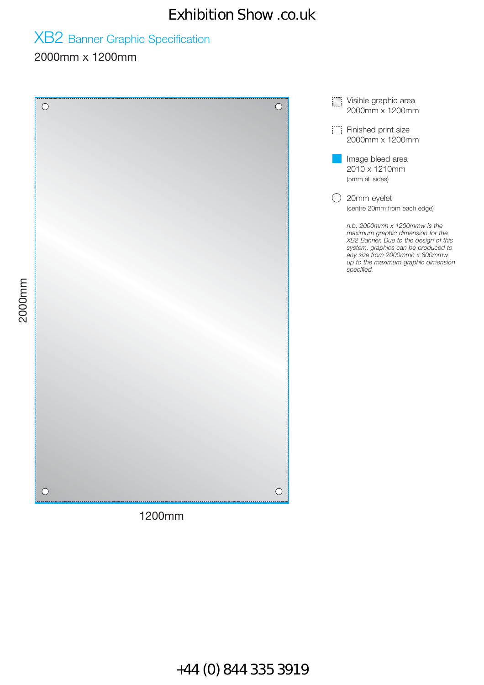# Exhibition Show .co.uk

# XB2 Banner Graphic Specification

#### 2000mm x 1200mm

**Visible graphic area**  $\circ$  $\bigcirc$ 2000mm x 1200mm Finished print size 2000mm x 1200mm Image bleed area 2010 x 1210mm (5mm all sides) 20mm eyelet (centre 20mm from each edge) *n.b. 2000mmh x 1200mmw is the maximum graphic dimension for the XB2 Banner. Due to the design of this system, graphics can be produced to any size from 2000mmh x 800mmw up to the maximum graphic dimension specified.*  $\bigcirc$  $\bigcirc$ 1200mm

+44 (0) 844 335 3919